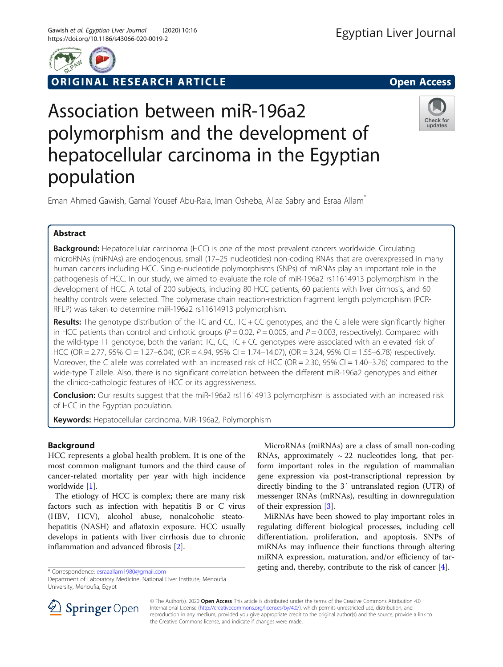

ORIGINAL RESEARCH ARTICLE **External of the Contract Open Access** 

# Association between miR-196a2 polymorphism and the development of hepatocellular carcinoma in the Egyptian population



Eman Ahmed Gawish, Gamal Yousef Abu-Raia, Iman Osheba, Aliaa Sabry and Esraa Allam\*

# Abstract

Background: Hepatocellular carcinoma (HCC) is one of the most prevalent cancers worldwide. Circulating microRNAs (miRNAs) are endogenous, small (17–25 nucleotides) non-coding RNAs that are overexpressed in many human cancers including HCC. Single-nucleotide polymorphisms (SNPs) of miRNAs play an important role in the pathogenesis of HCC. In our study, we aimed to evaluate the role of miR-196a2 rs11614913 polymorphism in the development of HCC. A total of 200 subjects, including 80 HCC patients, 60 patients with liver cirrhosis, and 60 healthy controls were selected. The polymerase chain reaction-restriction fragment length polymorphism (PCR-RFLP) was taken to determine miR-196a2 rs11614913 polymorphism.

Results: The genotype distribution of the TC and CC, TC + CC genotypes, and the C allele were significantly higher in HCC patients than control and cirrhotic groups ( $P = 0.02$ ,  $P = 0.005$ , and  $P = 0.003$ , respectively). Compared with the wild-type TT genotype, both the variant TC, CC, TC + CC genotypes were associated with an elevated risk of HCC (OR = 2.77, 95% CI = 1.27–6.04), (OR = 4.94, 95% CI = 1.74–14.07), (OR = 3.24, 95% CI = 1.55–6.78) respectively. Moreover, the C allele was correlated with an increased risk of HCC (OR = 2.30, 95% CI = 1.40–3.76) compared to the wide-type T allele. Also, there is no significant correlation between the different miR-196a2 genotypes and either the clinico-pathologic features of HCC or its aggressiveness.

Conclusion: Our results suggest that the miR-196a2 rs11614913 polymorphism is associated with an increased risk of HCC in the Egyptian population.

Keywords: Hepatocellular carcinoma, MiR-196a2, Polymorphism

# Background

HCC represents a global health problem. It is one of the most common malignant tumors and the third cause of cancer-related mortality per year with high incidence worldwide [\[1](#page-8-0)].

The etiology of HCC is complex; there are many risk factors such as infection with hepatitis B or C virus (HBV, HCV), alcohol abuse, nonalcoholic steatohepatitis (NASH) and aflatoxin exposure. HCC usually develops in patients with liver cirrhosis due to chronic inflammation and advanced fibrosis [[2\]](#page-8-0).

\* Correspondence: [esraaallam1980@gmail.com](mailto:esraaallam1980@gmail.com)

MicroRNAs (miRNAs) are a class of small non-coding RNAs, approximately  $\sim$  22 nucleotides long, that perform important roles in the regulation of mammalian gene expression via post-transcriptional repression by directly binding to the 3′ untranslated region (UTR) of messenger RNAs (mRNAs), resulting in downregulation of their expression [[3\]](#page-8-0).

MiRNAs have been showed to play important roles in regulating different biological processes, including cell differentiation, proliferation, and apoptosis. SNPs of miRNAs may influence their functions through altering miRNA expression, maturation, and/or efficiency of targeting and, thereby, contribute to the risk of cancer [\[4](#page-8-0)].



© The Author(s). 2020 Open Access This article is distributed under the terms of the Creative Commons Attribution 4.0 International License ([http://creativecommons.org/licenses/by/4.0/\)](http://creativecommons.org/licenses/by/4.0/), which permits unrestricted use, distribution, and reproduction in any medium, provided you give appropriate credit to the original author(s) and the source, provide a link to the Creative Commons license, and indicate if changes were made.

Department of Laboratory Medicine, National Liver Institute, Menoufia University, Menoufia, Egypt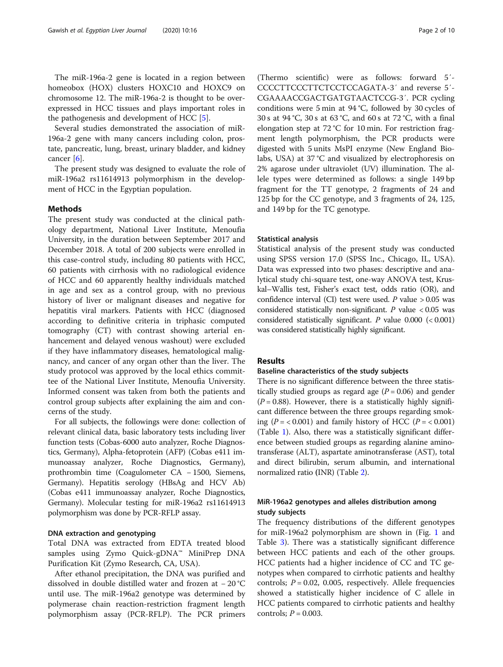The miR-196a-2 gene is located in a region between homeobox (HOX) clusters HOXC10 and HOXC9 on chromosome 12. The miR-196a-2 is thought to be overexpressed in HCC tissues and plays important roles in the pathogenesis and development of HCC [\[5](#page-8-0)].

Several studies demonstrated the association of miR-196a-2 gene with many cancers including colon, prostate, pancreatic, lung, breast, urinary bladder, and kidney cancer [[6](#page-8-0)].

The present study was designed to evaluate the role of miR-196a2 rs11614913 polymorphism in the development of HCC in the Egyptian population.

## Methods

The present study was conducted at the clinical pathology department, National Liver Institute, Menoufia University, in the duration between September 2017 and December 2018. A total of 200 subjects were enrolled in this case-control study, including 80 patients with HCC, 60 patients with cirrhosis with no radiological evidence of HCC and 60 apparently healthy individuals matched in age and sex as a control group, with no previous history of liver or malignant diseases and negative for hepatitis viral markers. Patients with HCC (diagnosed according to definitive criteria in triphasic computed tomography (CT) with contrast showing arterial enhancement and delayed venous washout) were excluded if they have inflammatory diseases, hematological malignancy, and cancer of any organ other than the liver. The study protocol was approved by the local ethics committee of the National Liver Institute, Menoufia University. Informed consent was taken from both the patients and control group subjects after explaining the aim and concerns of the study.

For all subjects, the followings were done: collection of relevant clinical data, basic laboratory tests including liver function tests (Cobas-6000 auto analyzer, Roche Diagnostics, Germany), Alpha-fetoprotein (AFP) (Cobas e411 immunoassay analyzer, Roche Diagnostics, Germany), prothrombin time (Coagulometer CA − 1500, Siemens, Germany). Hepatitis serology (HBsAg and HCV Ab) (Cobas e411 immunoassay analyzer, Roche Diagnostics, Germany). Molecular testing for miR-196a2 rs11614913 polymorphism was done by PCR-RFLP assay.

## DNA extraction and genotyping

Total DNA was extracted from EDTA treated blood samples using Zymo Quick-gDNA™ MiniPrep DNA Purification Kit (Zymo Research, CA, USA).

After ethanol precipitation, the DNA was purified and dissolved in double distilled water and frozen at − 20 °C until use. The miR-196a2 genotype was determined by polymerase chain reaction-restriction fragment length polymorphism assay (PCR-RFLP). The PCR primers

(Thermo scientific) were as follows: forward 5′- CCCCTTCCCTTCTCCTCCAGATA-3′ and reverse 5′- CGAAAACCGACTGATGTAACTCCG-3′. PCR cycling conditions were 5 min at 94 °C, followed by 30 cycles of 30 s at 94 °C, 30 s at 63 °C, and 60 s at 72 °C, with a final elongation step at 72 °C for 10 min. For restriction fragment length polymorphism, the PCR products were digested with 5 units MsPI enzyme (New England Biolabs, USA) at 37 °C and visualized by electrophoresis on 2% agarose under ultraviolet (UV) illumination. The allele types were determined as follows: a single 149 bp fragment for the TT genotype, 2 fragments of 24 and 125 bp for the CC genotype, and 3 fragments of 24, 125, and 149 bp for the TC genotype.

## Statistical analysis

Statistical analysis of the present study was conducted using SPSS version 17.0 (SPSS Inc., Chicago, IL, USA). Data was expressed into two phases: descriptive and analytical study chi-square test, one-way ANOVA test, Kruskal–Wallis test, Fisher's exact test, odds ratio (OR), and confidence interval (CI) test were used. P value  $> 0.05$  was considered statistically non-significant.  $P$  value < 0.05 was considered statistically significant. P value  $0.000$  (<  $0.001$ ) was considered statistically highly significant.

## Results

## Baseline characteristics of the study subjects

There is no significant difference between the three statistically studied groups as regard age  $(P = 0.06)$  and gender  $(P = 0.88)$ . However, there is a statistically highly significant difference between the three groups regarding smoking ( $P = < 0.001$ ) and family history of HCC ( $P = < 0.001$ ) (Table [1\)](#page-2-0). Also, there was a statistically significant difference between studied groups as regarding alanine aminotransferase (ALT), aspartate aminotransferase (AST), total and direct bilirubin, serum albumin, and international normalized ratio (INR) (Table [2\)](#page-3-0).

# MiR-196a2 genotypes and alleles distribution among study subjects

The frequency distributions of the different genotypes for miR-196a2 polymorphism are shown in (Fig. [1](#page-4-0) and Table [3\)](#page-5-0). There was a statistically significant difference between HCC patients and each of the other groups. HCC patients had a higher incidence of CC and TC genotypes when compared to cirrhotic patients and healthy controls;  $P = 0.02$ , 0.005, respectively. Allele frequencies showed a statistically higher incidence of C allele in HCC patients compared to cirrhotic patients and healthy controls;  $P = 0.003$ .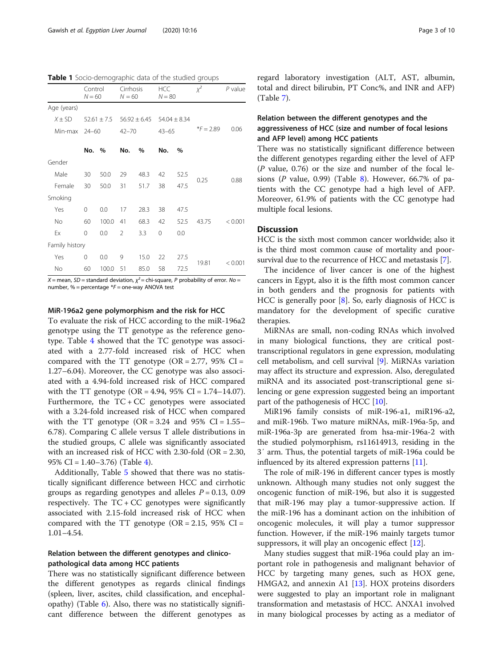<span id="page-2-0"></span>Table 1 Socio-demographic data of the studied groups

|                | Control<br>$N = 60$ |               | Cirrhosis<br>$N = 60$ |                  | <b>HCC</b><br>$N = 80$ |                  | $\chi^2$    | $P$ value |
|----------------|---------------------|---------------|-----------------------|------------------|------------------------|------------------|-------------|-----------|
| Age (years)    |                     |               |                       |                  |                        |                  |             |           |
| $X + SD$       |                     | $52.61 + 7.5$ |                       | $56.92 \pm 6.45$ |                        | $54.04 \pm 8.34$ |             |           |
| Min-max        | $24 - 60$           |               | $42 - 70$             |                  | $43 - 65$              |                  | $*F = 2.89$ | 0.06      |
|                | No.                 | $\%$          | No.                   | %                | No.                    | $\frac{0}{0}$    |             |           |
| Gender         |                     |               |                       |                  |                        |                  |             |           |
| Male           | 30                  | 50.0          | 29                    | 48.3             | 42                     | 52.5             | 0.25        | 0.88      |
| Female         | 30                  | 50.0          | 31                    | 51.7             | 38                     | 47.5             |             |           |
| Smoking        |                     |               |                       |                  |                        |                  |             |           |
| Yes            | 0                   | 0.0           | 17                    | 28.3             | 38                     | 47.5             |             |           |
| <b>No</b>      | 60                  | 100.0         | 41                    | 68.3             | 42                     | 52.5             | 43.75       | < 0.001   |
| Ex             | $\Omega$            | 0.0           | $\mathfrak{D}$        | 3.3              | $\Omega$               | 0.0              |             |           |
| Family history |                     |               |                       |                  |                        |                  |             |           |
| Yes            | $\Omega$            | 0.0           | 9                     | 15.0             | 22                     | 27.5             |             |           |
| <b>No</b>      | 60                  | 100.0         | 51                    | 85.0             | 58                     | 72.5             | 19.81       | < 0.001   |

 $X$  = mean, SD = standard deviation,  $\chi^2$  = chi-square, P probability of error. No = number, % = percentage  $*F$  = one-way ANOVA test

#### MiR-196a2 gene polymorphism and the risk for HCC

To evaluate the risk of HCC according to the miR-196a2 genotype using the TT genotype as the reference genotype. Table [4](#page-5-0) showed that the TC genotype was associated with a 2.77-fold increased risk of HCC when compared with the TT genotype  $(OR = 2.77, 95\% \text{ CI} =$ 1.27–6.04). Moreover, the CC genotype was also associated with a 4.94-fold increased risk of HCC compared with the TT genotype  $(OR = 4.94, 95\% \text{ CI} = 1.74 - 14.07)$ . Furthermore, the  $TC + CC$  genotypes were associated with a 3.24-fold increased risk of HCC when compared with the TT genotype  $(OR = 3.24$  and 95%  $CI = 1.55$ -6.78). Comparing C allele versus T allele distributions in the studied groups, C allele was significantly associated with an increased risk of HCC with 2.30-fold (OR = 2.30, 95% CI = 1.40–3.76) (Table [4\)](#page-5-0).

Additionally, Table [5](#page-5-0) showed that there was no statistically significant difference between HCC and cirrhotic groups as regarding genotypes and alleles  $P = 0.13, 0.09$ respectively. The TC + CC genotypes were significantly associated with 2.15-fold increased risk of HCC when compared with the TT genotype  $(OR = 2.15, 95\% \text{ CI} =$ 1.01–4.54.

## Relation between the different genotypes and clinicopathological data among HCC patients

There was no statistically significant difference between the different genotypes as regards clinical findings (spleen, liver, ascites, child classification, and encephalopathy) (Table  $6$ ). Also, there was no statistically significant difference between the different genotypes as regard laboratory investigation (ALT, AST, albumin, total and direct bilirubin, PT Conc%, and INR and AFP) (Table [7\)](#page-7-0).

# Relation between the different genotypes and the aggressiveness of HCC (size and number of focal lesions and AFP level) among HCC patients

There was no statistically significant difference between the different genotypes regarding either the level of AFP  $(P$  value, 0.76) or the size and number of the focal lesions ( $P$  value, 0.99) (Table [8](#page-8-0)). However, 66.7% of patients with the CC genotype had a high level of AFP. Moreover, 61.9% of patients with the CC genotype had multiple focal lesions.

## **Discussion**

HCC is the sixth most common cancer worldwide; also it is the third most common cause of mortality and poorsurvival due to the recurrence of HCC and metastasis [\[7](#page-8-0)].

The incidence of liver cancer is one of the highest cancers in Egypt, also it is the fifth most common cancer in both genders and the prognosis for patients with HCC is generally poor [[8\]](#page-8-0). So, early diagnosis of HCC is mandatory for the development of specific curative therapies.

MiRNAs are small, non-coding RNAs which involved in many biological functions, they are critical posttranscriptional regulators in gene expression, modulating cell metabolism, and cell survival [[9](#page-8-0)]. MiRNAs variation may affect its structure and expression. Also, deregulated miRNA and its associated post-transcriptional gene silencing or gene expression suggested being an important part of the pathogenesis of HCC [[10\]](#page-8-0).

MiR196 family consists of miR-196-a1, miR196-a2, and miR-196b. Two mature miRNAs, miR-196a-5p, and miR-196a-3p are generated from hsa-mir-196a-2 with the studied polymorphism, rs11614913, residing in the 3′ arm. Thus, the potential targets of miR-196a could be influenced by its altered expression patterns [\[11](#page-8-0)].

The role of miR-196 in different cancer types is mostly unknown. Although many studies not only suggest the oncogenic function of miR-196, but also it is suggested that miR-196 may play a tumor-suppressive action. If the miR-196 has a dominant action on the inhibition of oncogenic molecules, it will play a tumor suppressor function. However, if the miR-196 mainly targets tumor suppressors, it will play an oncogenic effect [[12](#page-8-0)].

Many studies suggest that miR-196a could play an important role in pathogenesis and malignant behavior of HCC by targeting many genes, such as HOX gene, HMGA2, and annexin A1 [[13\]](#page-8-0). HOX proteins disorders were suggested to play an important role in malignant transformation and metastasis of HCC. ANXA1 involved in many biological processes by acting as a mediator of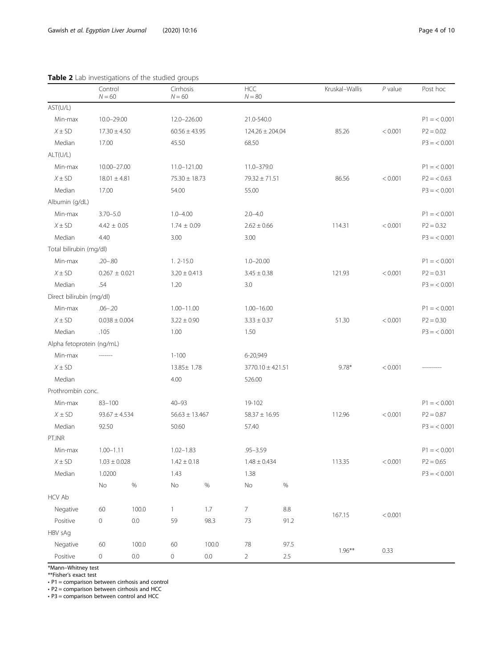<span id="page-3-0"></span>

|              | Control<br>$N = 60$ | Cirrhosis<br>$N = 60$ | <b>HCC</b><br>$N = 80$ | Kruskal-Wallis | $P$ value | Post hoc     |
|--------------|---------------------|-----------------------|------------------------|----------------|-----------|--------------|
| ST(U/L)      |                     |                       |                        |                |           |              |
| Min-max      | $10.0 - 29.00$      | 12.0-226.00           | 21.0-540.0             |                |           | $P1 = 0.001$ |
| $X \pm SD$   | $17.30 \pm 4.50$    | $60.56 \pm 43.95$     | $124.26 \pm 204.04$    | 85.26          | < 0.001   | $P2 = 0.02$  |
| Median       | 17.00               | 45.50                 | 68.50                  |                |           | $P3 = 0.001$ |
| T(U/L)       |                     |                       |                        |                |           |              |
| Min-max      | 10.00-27.00         | 11.0-121.00           | 11.0-379.0             |                |           | $P1 = 0.001$ |
| $X \pm SD$   | $18.01 \pm 4.81$    | $75.30 \pm 18.73$     | $79.32 \pm 71.51$      | 86.56          | < 0.001   | $P2 = 0.63$  |
| Median       | 17.00               | 54.00                 | 55.00                  |                |           | $P3 = 0.001$ |
| bumin (g/dL) |                     |                       |                        |                |           |              |
| Min-max      | $3.70 - 5.0$        | $1.0 - 4.00$          | $2.0 - 4.0$            |                |           | $P1 = 0.001$ |
|              |                     |                       |                        |                |           |              |

 $X \pm SD$  4.42  $\pm$  0.05 1.74  $\pm$  0.09 2.62  $\pm$  0.66 114.31 < 0.001 P2 = 0.32 Median 4.40 3.00 3.00 3.00 3.00 P3 = < 0.001

Min-max .20–.80 1. 2-15.0 1.0–20.00 P1 = < 0.001  $X \pm SD$   $0.267 \pm 0.021$   $3.20 \pm 0.413$   $3.45 \pm 0.38$   $121.93$   $< 0.001$   $P2 = 0.31$ Median .54 1.20 3.0 P3 = < 0.001

 $X \pm SD$   $0.038 \pm 0.004$   $3.22 \pm 0.90$   $3.33 \pm 0.37$  51.30  $< 0.001$   $P2 = 0.30$ Median .105 1.00 1.50 1.50 P3 = < 0.001

 $X \pm SD$  93.67  $\pm 4.534$  56.63  $\pm 13.467$  58.37  $\pm 16.95$  112.96 < 0.001 P2 = 0.87 Median 92.50 50.60 57.40 P3 = < 0.001

 $X \pm SD$  1.03  $\pm 0.028$  1.42  $\pm 0.18$  1.48  $\pm 0.434$  113.35 < 0.001 P2 = 0.65 Median 1.0200 1.43 1.38 P3 = < 0.001

 $X \pm SD$  13.85± 1.78 3770.10 ± 421.51 9.78\* < 0.001

Negative 60 100.0 60 100.0 78 97.5<br>-

114.31 < 0.001

51.30 < 0.001

112.96 < 0.001

113.35 < 0.001

167.15 < 0.001

## Table 2 Lab investigations

Min-max .06–.20 1.00–11.00 1.00–16.00

Min-max ------- 1-100 6-20,949

Median 526.00

Min-max 83–100 40–93 19-102

Min-max 1.00–1.11 1.02–1.83 .95–3.59

Negative 60 100.0 1 1.7 7 8.8

Positive 0 0.0 59 98.3 73 91.2

Positive 0 0.0 0 0.0 2 2.5

No % No % No %

AST(U/L)

ALT(U/L)

Albumin (g/dL)

Total bilirubin (mg/dl)

Direct bilirubin (mg/dl)

Alpha fetoprotein (ng/mL)

Prothrombin conc.

PT.INR

HCV Ab

HBV sAg

\*Mann–Whitney test \*\*Fisher's exact test

• P1 = comparison between cirrhosis and control

• P2 = comparison between cirrhosis and HCC

• P3 = comparison between control and HCC

 $P1 = 0.001$ 

 $P1 = 0.001$ 

 $P1 = 0.001$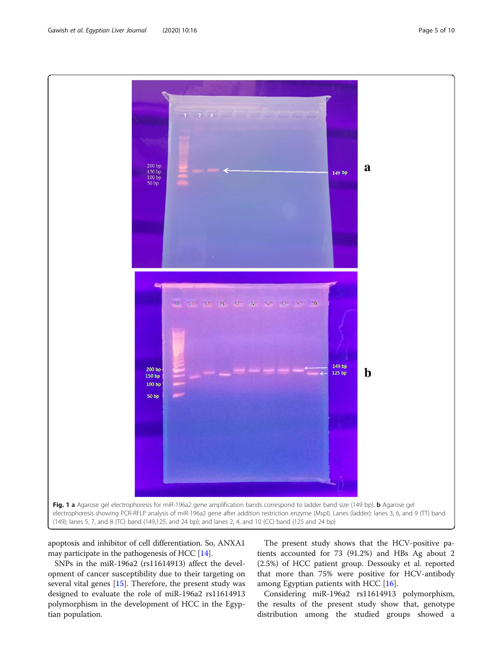apoptosis and inhibitor of cell differentiation. So, ANXA1 may participate in the pathogenesis of HCC [\[14\]](#page-8-0).

SNPs in the miR-196a2 (rs11614913) affect the development of cancer susceptibility due to their targeting on several vital genes [\[15\]](#page-8-0). Therefore, the present study was designed to evaluate the role of miR-196a2 rs11614913 polymorphism in the development of HCC in the Egyptian population.

The present study shows that the HCV-positive patients accounted for 73 (91.2%) and HBs Ag about 2 (2.5%) of HCC patient group. Dessouky et al. reported that more than 75% were positive for HCV-antibody among Egyptian patients with HCC [[16](#page-8-0)].

Considering miR-196a2 rs11614913 polymorphism, the results of the present study show that, genotype distribution among the studied groups showed a

<span id="page-4-0"></span>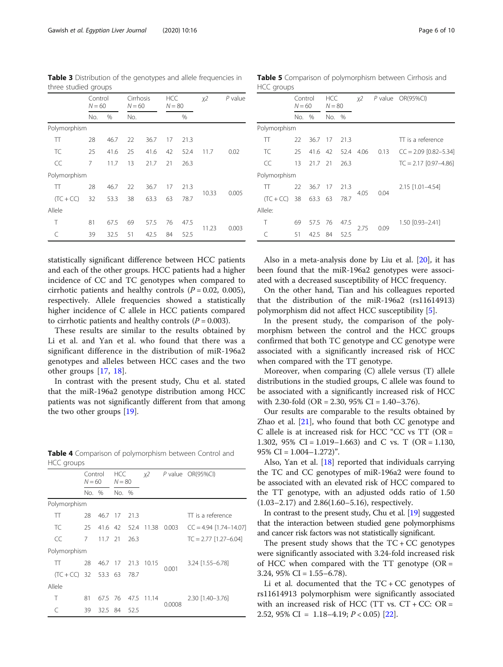statistically significant difference between HCC patients and each of the other groups. HCC patients had a higher incidence of CC and TC genotypes when compared to cirrhotic patients and healthy controls  $(P = 0.02, 0.005)$ , respectively. Allele frequencies showed a statistically higher incidence of C allele in HCC patients compared to cirrhotic patients and healthy controls  $(P = 0.003)$ .

These results are similar to the results obtained by Li et al. and Yan et al. who found that there was a significant difference in the distribution of miR-196a2 genotypes and alleles between HCC cases and the two other groups [\[17](#page-8-0), [18](#page-8-0)].

In contrast with the present study, Chu et al. stated that the miR-196a2 genotype distribution among HCC patients was not significantly different from that among the two other groups [\[19\]](#page-8-0).

Table 4 Comparison of polymorphism between Control and HCC groups

|                        | Control<br>$N = 60$ |           | <b>HCC</b><br>$N = 80$ |              | χ2         |        | P value OR(95%CI)        |  |
|------------------------|---------------------|-----------|------------------------|--------------|------------|--------|--------------------------|--|
|                        | No. %               |           | No. %                  |              |            |        |                          |  |
| Polymorphism           |                     |           |                        |              |            |        |                          |  |
| π                      | 28                  | 46.7 17   |                        | -21.3        |            |        | TT is a reference        |  |
| TC.                    | 25                  |           |                        | 41.6 42 52.4 | 11.38      | 0.003  | $CC = 4.94$ [1.74-14.07] |  |
| CC                     | 7                   | $11.7$ 21 |                        | 26.3         |            |        | $TC = 2.77$ [1.27-6.04]  |  |
| Polymorphism           |                     |           |                        |              |            |        |                          |  |
| π                      | 28                  | 46.7 17   |                        | 21.3         | 10.15      |        | $3.24$ [1.55-6.78]       |  |
| $(TC + CC)$ 32 53.3 63 |                     |           |                        | 78.7         |            | 0.001  |                          |  |
| Allele                 |                     |           |                        |              |            |        |                          |  |
| Τ                      | 81                  | 67.5 76   |                        |              | 47.5 11.14 |        | $2.30$ [1.40-3.76]       |  |
|                        | 39                  | 32.5 84   |                        | 52.5         |            | 0.0008 |                          |  |

Also in a meta-analysis done by Liu et al. [\[20](#page-9-0)], it has been found that the miR-196a2 genotypes were associated with a decreased susceptibility of HCC frequency.

On the other hand, Tian and his colleagues reported that the distribution of the miR-196a2 (rs11614913) polymorphism did not affect HCC susceptibility [\[5](#page-8-0)].

In the present study, the comparison of the polymorphism between the control and the HCC groups confirmed that both TC genotype and CC genotype were associated with a significantly increased risk of HCC when compared with the TT genotype.

Moreover, when comparing (C) allele versus (T) allele distributions in the studied groups, C allele was found to be associated with a significantly increased risk of HCC with 2.30-fold (OR = 2.30,  $95\%$  CI = 1.40–3.76).

Our results are comparable to the results obtained by Zhao et al.  $[21]$  $[21]$  $[21]$ , who found that both CC genotype and C allele is at increased risk for HCC "CC vs TT (OR = 1.302, 95% CI = 1.019–1.663) and C vs. T (OR = 1.130, 95% CI =  $1.004 - 1.272$ ".

Also, Yan et al. [\[18](#page-8-0)] reported that individuals carrying the TC and CC genotypes of miR-196a2 were found to be associated with an elevated risk of HCC compared to the TT genotype, with an adjusted odds ratio of 1.50 (1.03–2.17) and 2.86(1.60–5.16), respectively.

In contrast to the present study, Chu et al. [\[19\]](#page-8-0) suggested that the interaction between studied gene polymorphisms and cancer risk factors was not statistically significant.

The present study shows that the  $TC + CC$  genotypes were significantly associated with 3.24-fold increased risk of HCC when compared with the  $TT$  genotype ( $OR =$ 3.24,  $95\%$  CI = 1.55–6.78).

Li et al. documented that the  $TC + CC$  genotypes of rs11614913 polymorphism were significantly associated with an increased risk of HCC (TT vs.  $CT + CC$ :  $OR =$ 2.52, 95% CI =  $1.18-4.19$ ;  $P < 0.05$ ) [\[22](#page-9-0)].

TC 25 41.6 25 41.6 42 52.4 11.7 0.02

10.33 0.005

HCC groups

11.23 0.003

<span id="page-5-0"></span>

| <b>Table 3</b> Distribution of the genotypes and allele frequencies in<br>three studied groups |                     |                       |                  |    |           |
|------------------------------------------------------------------------------------------------|---------------------|-----------------------|------------------|----|-----------|
|                                                                                                | Control<br>$N = 60$ | Cirrhosis<br>$N = 60$ | HCC.<br>$N = 80$ | х2 | $P$ value |

No. % No. %

TT 28 46.7 22 36.7 17 21.3

CC 7 11.7 13 21.7 21 26.3

TT 28 46.7 22 36.7 17 21.3

 $(TC + CC)$  32 53.3 38 63.3 63 78.7

T 81 67.5 69 57.5 76 47.5

C 39 32.5 51 42.5 84 52.5

Polymorphism

Polymorphism

Allele

| %<br>No. %<br>No.<br>Polymorphism<br>TT is a reference<br>π<br>22<br>36.7 17<br>21.3<br>TC<br>25<br>0.13<br>$CC = 2.09$ [0.82-5.34]<br>41.6 42<br>52.4<br>-4.06<br>CC<br>$TC = 2.17$ [0.97-4.86]<br>13<br>21.7 21<br>26.3<br>Polymorphism |  |
|-------------------------------------------------------------------------------------------------------------------------------------------------------------------------------------------------------------------------------------------|--|
|                                                                                                                                                                                                                                           |  |
|                                                                                                                                                                                                                                           |  |
|                                                                                                                                                                                                                                           |  |
|                                                                                                                                                                                                                                           |  |
|                                                                                                                                                                                                                                           |  |
|                                                                                                                                                                                                                                           |  |
| 22<br>π<br>36.7<br>21.3<br>2.15 [1.01-4.54]<br>- 17<br>0.04                                                                                                                                                                               |  |
| 4.05<br>$(TC + CC)$<br>63.3<br>38<br>63<br>78.7                                                                                                                                                                                           |  |
| Allele:                                                                                                                                                                                                                                   |  |
| Τ<br>57.5 76 47.5<br>69<br>1.50 [0.93-2.41]                                                                                                                                                                                               |  |
| 2.75<br>0.09<br>42.5<br>52.5<br>51<br>84                                                                                                                                                                                                  |  |

Table 5 Comparison of polymorphism between Cirrhosis and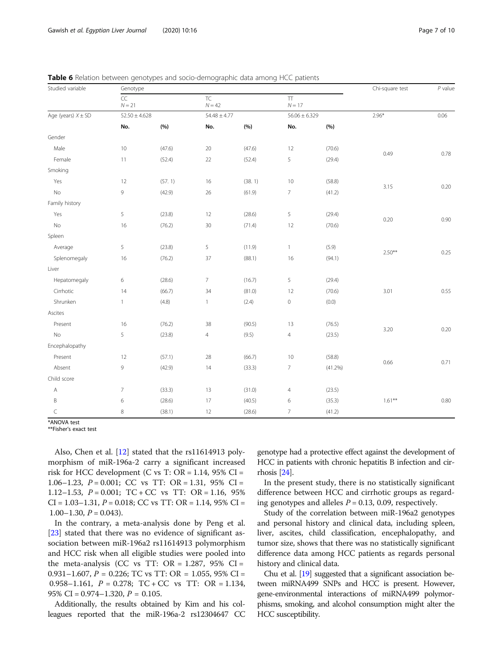| Studied variable       | Genotype          |        |                       | Chi-square test  | $P$ value                      |                   |           |      |
|------------------------|-------------------|--------|-----------------------|------------------|--------------------------------|-------------------|-----------|------|
|                        | CC<br>$N\!=21$    |        | <b>TC</b><br>$N = 42$ |                  | $\boldsymbol{\Pi}$<br>$N = 17$ |                   |           |      |
| Age (years) $X \pm SD$ | $52.50 \pm 4.628$ |        |                       | $54.48 \pm 4.77$ |                                | $56.06 \pm 6.329$ | $2.96*$   | 0.06 |
|                        | No.               | (%)    | No.                   | (%)              | No.                            | (%)               |           |      |
| Gender                 |                   |        |                       |                  |                                |                   |           |      |
| Male                   | 10                | (47.6) | $20\,$                | (47.6)           | 12                             | (70.6)            |           |      |
| Female                 | 11                | (52.4) | 22                    | (52.4)           | 5                              | (29.4)            | 0.49      | 0.78 |
| Smoking                |                   |        |                       |                  |                                |                   |           |      |
| Yes                    | 12                | (57.1) | 16                    | (38.1)           | 10                             | (58.8)            |           |      |
| No                     | 9                 | (42.9) | $26\,$                | (61.9)           | $\overline{7}$                 | (41.2)            | 3.15      | 0.20 |
| Family history         |                   |        |                       |                  |                                |                   |           |      |
| Yes                    | 5                 | (23.8) | 12                    | (28.6)           | 5                              | (29.4)            |           | 0.90 |
| $\mathsf{No}$          | 16                | (76.2) | $30\,$                | (71.4)           | 12                             | (70.6)            | 0.20      |      |
| Spleen                 |                   |        |                       |                  |                                |                   |           |      |
| Average                | 5                 | (23.8) | 5                     | (11.9)           | $\mathbbm{1}$                  | (5.9)             | $2.50**$  | 0.25 |
| Splenomegaly           | 16                | (76.2) | 37                    | (88.1)           | 16                             | (94.1)            |           |      |
| Liver                  |                   |        |                       |                  |                                |                   |           |      |
| Hepatomegaly           | 6                 | (28.6) | $\overline{7}$        | (16.7)           | 5                              | (29.4)            |           |      |
| Cirrhotic              | 14                | (66.7) | 34                    | (81.0)           | 12                             | (70.6)            | 3.01      | 0.55 |
| Shrunken               | $\mathbf{1}$      | (4.8)  | $\mathbf{1}$          | (2.4)            | $\,0\,$                        | (0.0)             |           |      |
| Ascites                |                   |        |                       |                  |                                |                   |           |      |
| Present                | 16                | (76.2) | 38                    | (90.5)           | 13                             | (76.5)            |           |      |
| No                     | 5                 | (23.8) | $\overline{4}$        | (9.5)            | $\overline{4}$                 | (23.5)            | 3.20      | 0.20 |
| Encephalopathy         |                   |        |                       |                  |                                |                   |           |      |
| Present                | 12                | (57.1) | 28                    | (66.7)           | 10                             | (58.8)            |           |      |
| Absent                 | 9                 | (42.9) | 14                    | (33.3)           | $\overline{7}$                 | $(41.2\%)$        | 0.66      | 0.71 |
| Child score            |                   |        |                       |                  |                                |                   |           |      |
| $\mathsf{A}$           | $7\overline{ }$   | (33.3) | 13                    | (31.0)           | $\overline{4}$                 | (23.5)            |           |      |
| B                      | 6                 | (28.6) | 17                    | (40.5)           | 6                              | (35.3)            | $1.61***$ | 0.80 |
| $\subset$              | 8                 | (38.1) | 12                    | (28.6)           | $\overline{7}$                 | (41.2)            |           |      |

<span id="page-6-0"></span>**Table 6** Relation between genotypes and socio-demographic data among HCC patients

\*ANOVA test

\*\*Fisher's exact test

Also, Chen et al. [\[12](#page-8-0)] stated that the rs11614913 polymorphism of miR-196a-2 carry a significant increased risk for HCC development (C vs T: OR =  $1.14$ , 95% CI = 1.06–1.23,  $P = 0.001$ ; CC vs TT: OR = 1.31, 95% CI = 1.12–1.53,  $P = 0.001$ ; TC + CC vs TT: OR = 1.16, 95%  $CI = 1.03 - 1.31, P = 0.018; CC$  vs TT:  $OR = 1.14, 95\%$  CI =  $1.00-1.30, P = 0.043$ .

In the contrary, a meta-analysis done by Peng et al. [[23\]](#page-9-0) stated that there was no evidence of significant association between miR-196a2 rs11614913 polymorphism and HCC risk when all eligible studies were pooled into the meta-analysis (CC vs TT:  $OR = 1.287$ ,  $95\%$  CI = 0.931–1.607,  $P = 0.226$ ; TC vs TT: OR = 1.055, 95% CI = 0.958–1.161,  $P = 0.278$ ;  $TC + CC$  vs  $TT$ :  $OR = 1.134$ , 95% CI =  $0.974 - 1.320$ ,  $P = 0.105$ .

Additionally, the results obtained by Kim and his colleagues reported that the miR-196a-2 rs12304647 CC

genotype had a protective effect against the development of HCC in patients with chronic hepatitis B infection and cirrhosis [\[24\]](#page-9-0).

In the present study, there is no statistically significant difference between HCC and cirrhotic groups as regarding genotypes and alleles  $P = 0.13, 0.09$ , respectively.

Study of the correlation between miR-196a2 genotypes and personal history and clinical data, including spleen, liver, ascites, child classification, encephalopathy, and tumor size, shows that there was no statistically significant difference data among HCC patients as regards personal history and clinical data.

Chu et al. [\[19](#page-8-0)] suggested that a significant association between miRNA499 SNPs and HCC is present. However, gene-environmental interactions of miRNA499 polymorphisms, smoking, and alcohol consumption might alter the HCC susceptibility.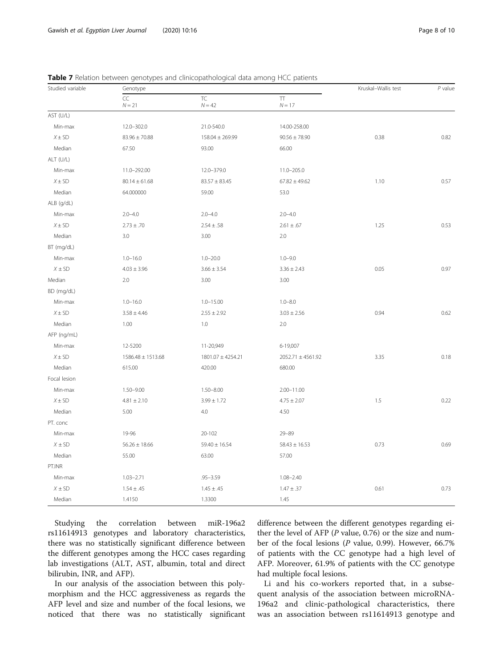| Studied variable | Genotype          |                       | Kruskal-Wallis test   | $P$ value |      |  |
|------------------|-------------------|-----------------------|-----------------------|-----------|------|--|
|                  | CC<br>$N = 21$    | <b>TC</b><br>$N = 42$ | $\top$<br>$N = 17$    |           |      |  |
| AST (U/L)        |                   |                       |                       |           |      |  |
| Min-max          | 12.0-302.0        | 21.0-540.0            | 14.00-258.00          |           |      |  |
| $X \pm SD$       | $83.96 \pm 70.88$ | $158.04 \pm 269.99$   | $90.56 \pm 78.90$     | 0.38      | 0.82 |  |
| Median           | 67.50             | 93.00                 | 66.00                 |           |      |  |
| ALT (U/L)        |                   |                       |                       |           |      |  |
| Min-max          | 11.0-292.00       | 12.0-379.0            | $11.0 - 205.0$        |           |      |  |
| $X \pm SD$       | $80.14 \pm 61.68$ | $83.57 \pm 83.45$     | $67.82 \pm 49.62$     | 1.10      | 0.57 |  |
| Median           | 64.000000         | 59.00                 | 53.0                  |           |      |  |
| ALB (g/dL)       |                   |                       |                       |           |      |  |
| Min-max          | $2.0 - 4.0$       | $2.0 - 4.0$           | $2.0 - 4.0$           |           |      |  |
| $X \pm SD$       | $2.73 \pm .70$    | $2.54 \pm .58$        | $2.61 \pm .67$        | 1.25      | 0.53 |  |
| Median           | 3.0               | 3.00                  | 2.0                   |           |      |  |
| BT (mg/dL)       |                   |                       |                       |           |      |  |
| Min-max          | $1.0 - 16.0$      | $1.0 - 20.0$          | $1.0 - 9.0$           |           |      |  |
| $X \pm SD$       | $4.03 \pm 3.96$   | $3.66 \pm 3.54$       | $3.36 \pm 2.43$       | 0.05      | 0.97 |  |
| Median           | 2.0               | 3.00                  | 3.00                  |           |      |  |
| BD (mg/dL)       |                   |                       |                       |           |      |  |
| Min-max          | $1.0 - 16.0$      | $1.0 - 15.00$         | $1.0 - 8.0$           |           |      |  |
| $X \pm SD$       | $3.58 \pm 4.46$   | $2.55 \pm 2.92$       | $3.03 \pm 2.56$       | 0.94      | 0.62 |  |
| Median           | 1.00              | 1.0                   | 2.0                   |           |      |  |
| AFP (ng/mL)      |                   |                       |                       |           |      |  |
| Min-max          | 12-5200           | 11-20,949             | 6-19,007              |           |      |  |
| $X \pm SD$       | 1586.48 ± 1513.68 | 1801.07 ± 4254.21     | $2052.71 \pm 4561.92$ | 3.35      | 0.18 |  |
| Median           | 615.00            | 420.00                | 680.00                |           |      |  |
| Focal lesion     |                   |                       |                       |           |      |  |
| Min-max          | $1.50 - 9.00$     | $1.50 - 8.00$         | $2.00 - 11.00$        |           |      |  |
| $X \pm SD$       | $4.81 \pm 2.10$   | $3.99 \pm 1.72$       | $4.75 \pm 2.07$       | 1.5       | 0.22 |  |
| Median           | 5.00              | 4.0                   | 4.50                  |           |      |  |
| PT. conc         |                   |                       |                       |           |      |  |
| Min-max          | 19-96             | 20-102                | $29 - 89$             |           |      |  |
| $X \pm SD$       | $56.26 \pm 18.66$ | $59.40 \pm 16.54$     | $58.43 \pm 16.53$     | 0.73      | 0.69 |  |
| Median           | 55.00             | 63.00                 | 57.00                 |           |      |  |
| PT.INR           |                   |                       |                       |           |      |  |
| Min-max          | $1.03 - 2.71$     | $.95 - 3.59$          | $1.08 - 2.40$         |           |      |  |
| $X \pm SD$       | $1.54 \pm .45$    | $1.45 \pm .45$        | $1.47 \pm .37$        | 0.61      | 0.73 |  |
| Median           | 1.4150            | 1.3300                | 1.45                  |           |      |  |

<span id="page-7-0"></span>Table 7 Relation between genotypes and clinicopathological data among HCC patients

Studying the correlation between miR-196a2 rs11614913 genotypes and laboratory characteristics, there was no statistically significant difference between the different genotypes among the HCC cases regarding lab investigations (ALT, AST, albumin, total and direct bilirubin, INR, and AFP).

In our analysis of the association between this polymorphism and the HCC aggressiveness as regards the AFP level and size and number of the focal lesions, we noticed that there was no statistically significant difference between the different genotypes regarding either the level of AFP ( $P$  value, 0.76) or the size and number of the focal lesions (P value, 0.99). However, 66.7% of patients with the CC genotype had a high level of AFP. Moreover, 61.9% of patients with the CC genotype had multiple focal lesions.

Li and his co-workers reported that, in a subsequent analysis of the association between microRNA-196a2 and clinic-pathological characteristics, there was an association between rs11614913 genotype and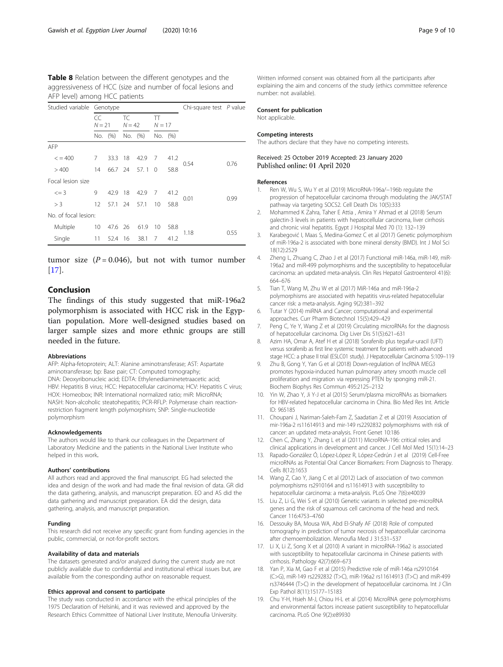<span id="page-8-0"></span>

| Table 8 Relation between the different genotypes and the    |
|-------------------------------------------------------------|
| aggressiveness of HCC (size and number of focal lesions and |
| AFP level) among HCC patients                               |

| Studied variable Genotype |                 |         |                |         |               |         | Chi-square test $P$ value |      |
|---------------------------|-----------------|---------|----------------|---------|---------------|---------|---------------------------|------|
|                           | CC<br>$N = 21$  |         | TC<br>$N = 42$ |         | π<br>$N = 17$ |         |                           |      |
|                           |                 | No. (%) |                | No. (%) |               | No. (%) |                           |      |
| AFP                       |                 |         |                |         |               |         |                           |      |
| $\leq$ = 400              | 7               | 33.3    | 18             | 42.9    | 7             | 41.2    |                           | 0.76 |
| >400                      | 14              | 66.7 24 |                | 57.1    | $\bigcirc$    | 58.8    | 0.54                      |      |
| Focal lesion size         |                 |         |                |         |               |         |                           |      |
| $\leq$ = 3                | 9               | 42.9    | 18             | 42.9    | 7             | 41.2    | 0.01                      | 0.99 |
| > 3                       | 12              | 57.1    | 24             | 57.1    | 10            | 58.8    |                           |      |
| No. of focal lesion:      |                 |         |                |         |               |         |                           |      |
| Multiple                  | 10 <sup>°</sup> | 47.6 26 |                | 61.9    | 10            | 58.8    | 1.18                      | 0.55 |
| Single                    | 11              | 52.4 16 |                | 38.1    | 7             | 41.2    |                           |      |

tumor size  $(P = 0.046)$ , but not with tumor number  $[17]$ .

# Conclusion

The findings of this study suggested that miR-196a2 polymorphism is associated with HCC risk in the Egyptian population. More well-designed studies based on larger sample sizes and more ethnic groups are still needed in the future.

#### Abbreviations

AFP: Alpha-fetoprotein; ALT: Alanine aminotransferase; AST: Aspartate aminotransferase; bp: Base pair; CT: Computed tomography; DNA: Deoxyribonucleic acid; EDTA: Ethylenediaminetetraacetic acid; HBV: Hepatitis B virus; HCC: Hepatocellular carcinoma; HCV: Hepatitis C virus; HOX: Homeobox; INR: International normalized ratio; miR: MicroRNA; NASH: Non-alcoholic steatohepatitis; PCR-RFLP: Polymerase chain reactionrestriction fragment length polymorphism; SNP: Single-nucleotide polymorphism

#### Acknowledgements

The authors would like to thank our colleagues in the Department of Laboratory Medicine and the patients in the National Liver Institute who helped in this work.

## Authors' contributions

All authors read and approved the final manuscript. EG had selected the idea and design of the work and had made the final revision of data. GR did the data gathering, analysis, and manuscript preparation. EO and AS did the data gathering and manuscript preparation. EA did the design, data gathering, analysis, and manuscript preparation.

## Funding

This research did not receive any specific grant from funding agencies in the public, commercial, or not-for-profit sectors.

#### Availability of data and materials

The datasets generated and/or analyzed during the current study are not publicly available due to confidential and institutional ethical issues but, are available from the corresponding author on reasonable request.

## Ethics approval and consent to participate

The study was conducted in accordance with the ethical principles of the 1975 Declaration of Helsinki, and it was reviewed and approved by the Research Ethics Committee of National Liver Institute, Menoufia University.

#### Consent for publication

Not applicable.

#### Competing interests

The authors declare that they have no competing interests.

## Received: 25 October 2019 Accepted: 23 January 2020 Published online: 01 April 2020

#### References

- 1. Ren W, Wu S, Wu Y et al (2019) MicroRNA-196a/−196b regulate the progression of hepatocellular carcinoma through modulating the JAK/STAT pathway via targeting SOCS2. Cell Death Dis 10(5):333
- 2. Mohammed K Zahra, Taher E Attia , Amira Y Ahmad et al (2018) Serum galectin-3 levels in patients with hepatocellular carcinoma, liver cirrhosis and chronic viral hepatitis. Egypt J Hospital Med 70 (1): 132–139
- 3. Karabegović I, Maas S, Medina-Gomez C et al (2017) Genetic polymorphism of miR-196a-2 is associated with bone mineral density (BMD). Int J Mol Sci 18(12):2529
- 4. Zheng L, Zhuang C, Zhao J et al (2017) Functional miR-146a, miR-149, miR-196a2 and miR-499 polymorphisms and the susceptibility to hepatocellular carcinoma: an updated meta-analysis. Clin Res Hepatol Gastroenterol 41(6): 664–676
- 5. Tian T, Wang M, Zhu W et al (2017) MiR-146a and miR-196a-2 polymorphisms are associated with hepatitis virus-related hepatocellular cancer risk: a meta-analysis. Aging 9(2):381–392
- 6. Tutar Y (2014) miRNA and Cancer; computational and experimental approaches. Curr Pharm Biotechnol 15(5):429–429
- 7. Peng C, Ye Y, Wang Z et al (2019) Circulating microRNAs for the diagnosis of hepatocellular carcinoma. Dig Liver Dis 51(5):621–631
- 8. Azim HA, Omar A, Atef H et al (2018) Sorafenib plus tegafur-uracil (UFT) versus sorafenib as first line systemic treatment for patients with advanced stage HCC: a phase II trial (ESLC01 study). J Hepatocellular Carcinoma 5:109–119
- 9. Zhu B, Gong Y, Yan G et al (2018) Down-regulation of lncRNA MEG3 promotes hypoxia-induced human pulmonary artery smooth muscle cell proliferation and migration via repressing PTEN by sponging miR-21. Biochem Biophys Res Commun 495:2125–2132
- 10. Yin W, Zhao Y, Ji Y-J et al (2015) Serum/plasma microRNAs as biomarkers for HBV-related hepatocellular carcinoma in China. Bio Med Res Int. Article ID: 965185
- 11. Choupani J, Nariman-Saleh-Fam Z, Saadatian Z et al (2019) Association of mir-196a-2 rs11614913 and mir-149 rs2292832 polymorphisms with risk of cancer: an updated meta-analysis. Front Genet 10:186
- 12. Chen C, Zhang Y, Zhang L et al (2011) MicroRNA-196: critical roles and clinical applications in development and cancer. J Cell Mol Med 15(1):14–23
- 13. Rapado-González Ó, López-López R, López-Cedrún J et al (2019) Cell-Free microRNAs as Potential Oral Cancer Biomarkers: From Diagnosis to Therapy. Cells 8(12):1653
- 14. Wang Z, Cao Y, Jiang C et al (2012) Lack of association of two common polymorphisms rs2910164 and rs11614913 with susceptibility to hepatocellular carcinoma: a meta-analysis. PLoS One 7(6):e40039
- 15. Liu Z, Li G, Wei S et al (2010) Genetic variants in selected pre-microRNA genes and the risk of squamous cell carcinoma of the head and neck. Cancer 116:4753–4760
- 16. Dessouky BA, Mousa WA, Abd El-Shafy AF (2018) Role of computed tomography in prediction of tumor necrosis of hepatocellular carcinoma after chemoembolization. Menoufia Med J 31:531–537
- 17. Li X, Li Z, Song X et al (2010) A variant in microRNA-196a2 is associated with susceptibility to hepatocellular carcinoma in Chinese patients with cirrhosis. Pathology 42(7):669–673
- 18. Yan P, Xia M, Gao F et al (2015) Predictive role of miR-146a rs2910164 (C>G), miR-149 rs2292832 (T>C), miR-196a2 rs11614913 (T>C) and miR-499 rs3746444 (T>C) in the development of hepatocellular carcinoma. Int J Clin Exp Pathol 8(11):15177–15183
- 19. Chu Y-H, Hsieh M-J, Chiou H-L et al (2014) MicroRNA gene polymorphisms and environmental factors increase patient susceptibility to hepatocellular carcinoma. PLoS One 9(2):e89930